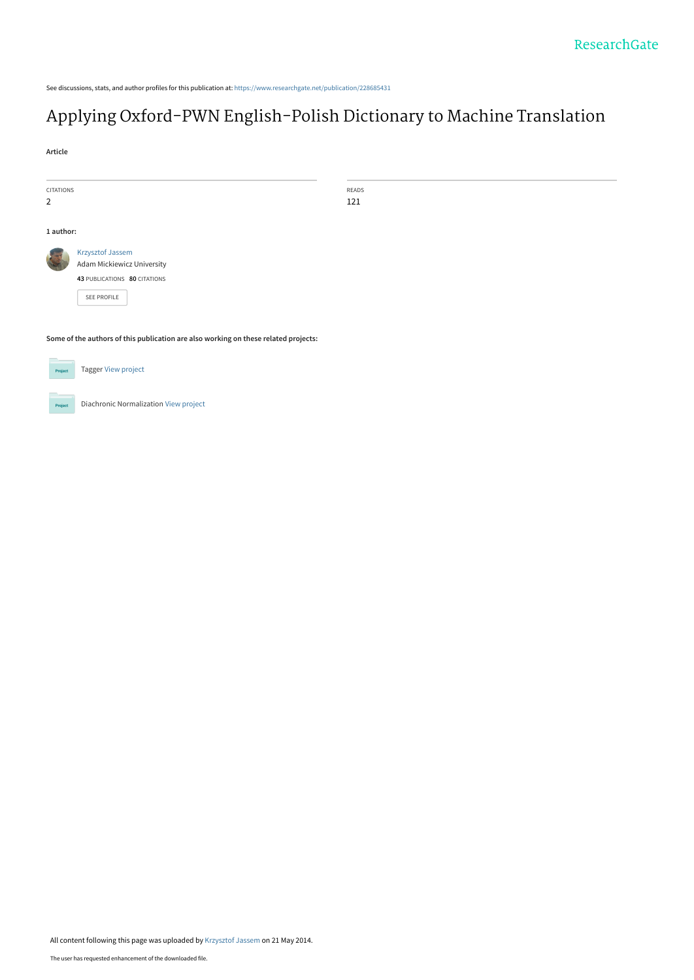See discussions, stats, and author profiles for this publication at: [https://www.researchgate.net/publication/228685431](https://www.researchgate.net/publication/228685431_Applying_Oxford-PWN_English-Polish_Dictionary_to_Machine_Translation?enrichId=rgreq-0027bb5e84dabb75868810655a051cbd-XXX&enrichSource=Y292ZXJQYWdlOzIyODY4NTQzMTtBUzoxMDY0NjIyNTI2MzQxMTJAMTQwMjM5Mzk4NzE3Mg%3D%3D&el=1_x_2&_esc=publicationCoverPdf)

# [Applying Oxford-PWN English-Polish Dictionary to Machine Translation](https://www.researchgate.net/publication/228685431_Applying_Oxford-PWN_English-Polish_Dictionary_to_Machine_Translation?enrichId=rgreq-0027bb5e84dabb75868810655a051cbd-XXX&enrichSource=Y292ZXJQYWdlOzIyODY4NTQzMTtBUzoxMDY0NjIyNTI2MzQxMTJAMTQwMjM5Mzk4NzE3Mg%3D%3D&el=1_x_3&_esc=publicationCoverPdf)

**Article**

| CITATIONS                                                                           |                                   | READS |  |  |
|-------------------------------------------------------------------------------------|-----------------------------------|-------|--|--|
| 2                                                                                   |                                   | 121   |  |  |
|                                                                                     |                                   |       |  |  |
|                                                                                     |                                   |       |  |  |
| 1 author:                                                                           |                                   |       |  |  |
|                                                                                     | <b>Krzysztof Jassem</b>           |       |  |  |
|                                                                                     | <b>Adam Mickiewicz University</b> |       |  |  |
|                                                                                     | 43 PUBLICATIONS 80 CITATIONS      |       |  |  |
|                                                                                     | SEE PROFILE                       |       |  |  |
|                                                                                     |                                   |       |  |  |
|                                                                                     |                                   |       |  |  |
|                                                                                     |                                   |       |  |  |
| Some of the authors of this publication are also working on these related projects: |                                   |       |  |  |
|                                                                                     |                                   |       |  |  |
| Project                                                                             | <b>Tagger View project</b>        |       |  |  |



Diachronic Normalization [View project](https://www.researchgate.net/project/Diachronic-Normalization?enrichId=rgreq-0027bb5e84dabb75868810655a051cbd-XXX&enrichSource=Y292ZXJQYWdlOzIyODY4NTQzMTtBUzoxMDY0NjIyNTI2MzQxMTJAMTQwMjM5Mzk4NzE3Mg%3D%3D&el=1_x_9&_esc=publicationCoverPdf)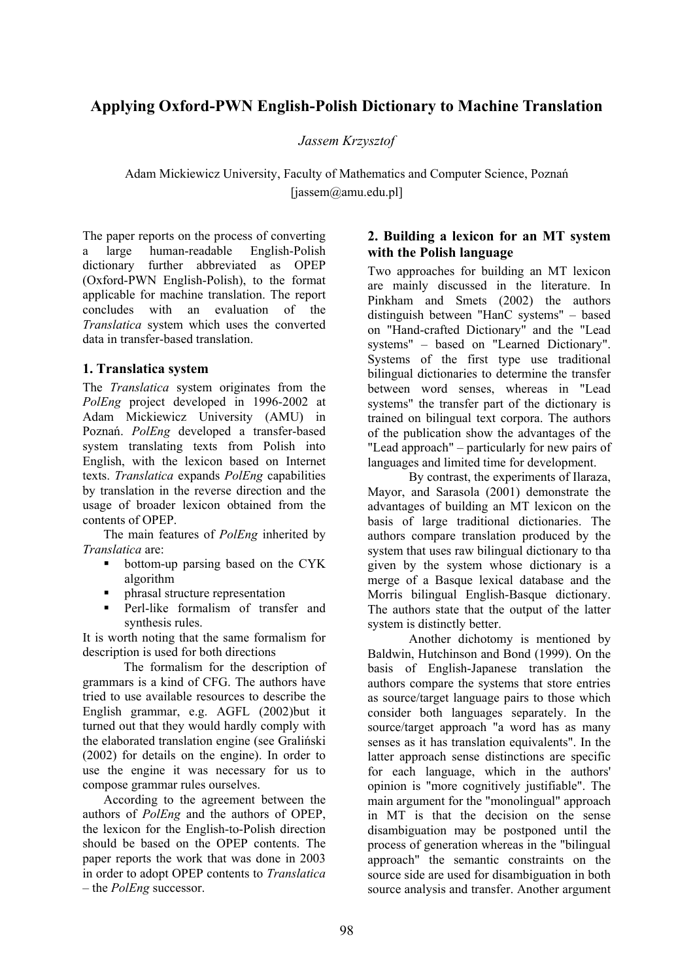## **Applying Oxford-PWN English-Polish Dictionary to Machine Translation**

*Jassem Krzysztof*

Adam Mickiewicz University, Faculty of Mathematics and Computer Science, Poznań [jassem@amu.edu.pl]

The paper reports on the process of converting a large human-readable English-Polish dictionary further abbreviated as OPEP (Oxford-PWN English-Polish), to the format applicable for machine translation. The report concludes with an evaluation of the *Translatica* system which uses the converted data in transfer-based translation.

#### **1. Translatica system**

The *Translatica* system originates from the *PolEng* project developed in 1996-2002 at Adam Mickiewicz University (AMU) in Poznań. *PolEng* developed a transfer-based system translating texts from Polish into English, with the lexicon based on Internet texts. *Translatica* expands *PolEng* capabilities by translation in the reverse direction and the usage of broader lexicon obtained from the contents of OPEP.

The main features of *PolEng* inherited by *Translatica* are:

- bottom-up parsing based on the CYK algorithm
- phrasal structure representation
- Perl-like formalism of transfer and synthesis rules.

It is worth noting that the same formalism for description is used for both directions

The formalism for the description of grammars is a kind of CFG. The authors have tried to use available resources to describe the English grammar, e.g. AGFL (2002)but it turned out that they would hardly comply with the elaborated translation engine (see Graliński (2002) for details on the engine). In order to use the engine it was necessary for us to compose grammar rules ourselves.

According to the agreement between the authors of *PolEng* and the authors of OPEP, the lexicon for the English-to-Polish direction should be based on the OPEP contents. The paper reports the work that was done in 2003 in order to adopt OPEP contents to *Translatica* – the *PolEng* successor.

#### **2. Building a lexicon for an MT system with the Polish language**

Two approaches for building an MT lexicon are mainly discussed in the literature. In Pinkham and Smets (2002) the authors distinguish between "HanC systems" – based on "Hand-crafted Dictionary" and the "Lead systems" – based on "Learned Dictionary". Systems of the first type use traditional bilingual dictionaries to determine the transfer between word senses, whereas in "Lead systems" the transfer part of the dictionary is trained on bilingual text corpora. The authors of the publication show the advantages of the "Lead approach" – particularly for new pairs of languages and limited time for development.

By contrast, the experiments of Ilaraza, Mayor, and Sarasola (2001) demonstrate the advantages of building an MT lexicon on the basis of large traditional dictionaries. The authors compare translation produced by the system that uses raw bilingual dictionary to tha given by the system whose dictionary is a merge of a Basque lexical database and the Morris bilingual English-Basque dictionary. The authors state that the output of the latter system is distinctly better.

Another dichotomy is mentioned by Baldwin, Hutchinson and Bond (1999). On the basis of English-Japanese translation the authors compare the systems that store entries as source/target language pairs to those which consider both languages separately. In the source/target approach "a word has as many senses as it has translation equivalents". In the latter approach sense distinctions are specific for each language, which in the authors' opinion is "more cognitively justifiable". The main argument for the "monolingual" approach in MT is that the decision on the sense disambiguation may be postponed until the process of generation whereas in the "bilingual approach" the semantic constraints on the source side are used for disambiguation in both source analysis and transfer. Another argument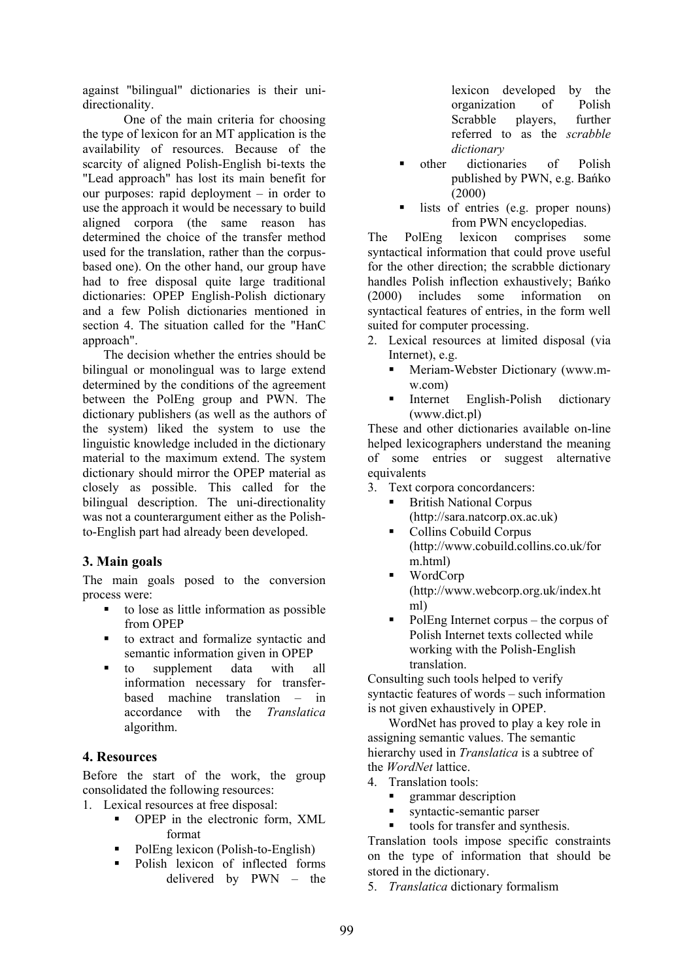against "bilingual" dictionaries is their unidirectionality.

One of the main criteria for choosing the type of lexicon for an MT application is the availability of resources. Because of the scarcity of aligned Polish-English bi-texts the "Lead approach" has lost its main benefit for our purposes: rapid deployment – in order to use the approach it would be necessary to build aligned corpora (the same reason has determined the choice of the transfer method used for the translation, rather than the corpusbased one). On the other hand, our group have had to free disposal quite large traditional dictionaries: OPEP English-Polish dictionary and a few Polish dictionaries mentioned in section 4. The situation called for the "HanC approach".

The decision whether the entries should be bilingual or monolingual was to large extend determined by the conditions of the agreement between the PolEng group and PWN. The dictionary publishers (as well as the authors of the system) liked the system to use the linguistic knowledge included in the dictionary material to the maximum extend. The system dictionary should mirror the OPEP material as closely as possible. This called for the bilingual description. The uni-directionality was not a counterargument either as the Polishto-English part had already been developed.

## **3. Main goals**

The main goals posed to the conversion process were:

- to lose as little information as possible from OPEP
- to extract and formalize syntactic and semantic information given in OPEP
- to supplement data with all information necessary for transferbased machine translation – in accordance with the *Translatica* algorithm.

#### **4. Resources**

Before the start of the work, the group consolidated the following resources:

- 1. Lexical resources at free disposal:
	- OPEP in the electronic form, XML format
	- PolEng lexicon (Polish-to-English)
	- Polish lexicon of inflected forms delivered by PWN – the

lexicon developed by the organization of Polish Scrabble players, further referred to as the *scrabble dictionary*

- **n** other dictionaries of Polish published by PWN, e.g. Bańko (2000)
- lists of entries (e.g. proper nouns) from PWN encyclopedias.

The PolEng lexicon comprises some syntactical information that could prove useful for the other direction; the scrabble dictionary handles Polish inflection exhaustively; Bańko (2000) includes some information on syntactical features of entries, in the form well suited for computer processing.

- 2. Lexical resources at limited disposal (via Internet), e.g.
	- Meriam-Webster Dictionary (www.mw.com)
	- Internet English-Polish dictionary (www.dict.pl)

These and other dictionaries available on-line helped lexicographers understand the meaning of some entries or suggest alternative equivalents

- 3. Text corpora concordancers:
	- British National Corpus (http://sara.natcorp.ox.ac.uk)
	- Collins Cobuild Corpus (http://www.cobuild.collins.co.uk/for m.html)
	- WordCorp (http://www.webcorp.org.uk/index.ht ml)
	- PolEng Internet corpus the corpus of Polish Internet texts collected while working with the Polish-English translation.

Consulting such tools helped to verify syntactic features of words – such information is not given exhaustively in OPEP.

WordNet has proved to play a key role in assigning semantic values. The semantic hierarchy used in *Translatica* is a subtree of the *WordNet* lattice.

- 4. Translation tools:
	- grammar description
	- syntactic-semantic parser
	- tools for transfer and synthesis.

Translation tools impose specific constraints on the type of information that should be stored in the dictionary.

5. *Translatica* dictionary formalism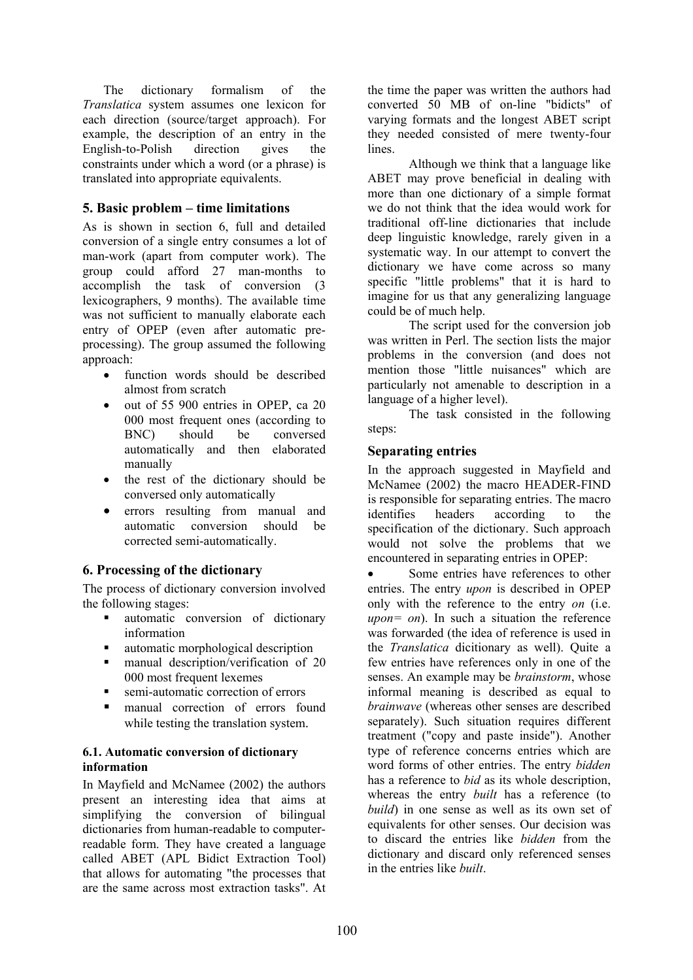The dictionary formalism of the *Translatica* system assumes one lexicon for each direction (source/target approach). For example, the description of an entry in the English-to-Polish direction gives the constraints under which a word (or a phrase) is translated into appropriate equivalents.

## **5. Basic problem – time limitations**

As is shown in section 6, full and detailed conversion of a single entry consumes a lot of man-work (apart from computer work). The group could afford 27 man-months to accomplish the task of conversion (3 lexicographers, 9 months). The available time was not sufficient to manually elaborate each entry of OPEP (even after automatic preprocessing). The group assumed the following approach:

- function words should be described almost from scratch
- out of 55 900 entries in OPEP, ca 20 000 most frequent ones (according to BNC) should be conversed automatically and then elaborated manually
- the rest of the dictionary should be conversed only automatically
- errors resulting from manual and automatic conversion should be corrected semi-automatically.

#### **6. Processing of the dictionary**

The process of dictionary conversion involved the following stages:

- automatic conversion of dictionary information
- automatic morphological description
- manual description/verification of 20 000 most frequent lexemes
- semi-automatic correction of errors
- manual correction of errors found while testing the translation system.

#### **6.1. Automatic conversion of dictionary information**

In Mayfield and McNamee (2002) the authors present an interesting idea that aims at simplifying the conversion of bilingual dictionaries from human-readable to computerreadable form. They have created a language called ABET (APL Bidict Extraction Tool) that allows for automating "the processes that are the same across most extraction tasks". At the time the paper was written the authors had converted 50 MB of on-line "bidicts" of varying formats and the longest ABET script they needed consisted of mere twenty-four lines.

Although we think that a language like ABET may prove beneficial in dealing with more than one dictionary of a simple format we do not think that the idea would work for traditional off-line dictionaries that include deep linguistic knowledge, rarely given in a systematic way. In our attempt to convert the dictionary we have come across so many specific "little problems" that it is hard to imagine for us that any generalizing language could be of much help.

The script used for the conversion job was written in Perl. The section lists the major problems in the conversion (and does not mention those "little nuisances" which are particularly not amenable to description in a language of a higher level).

The task consisted in the following steps:

#### **Separating entries**

In the approach suggested in Mayfield and McNamee (2002) the macro HEADER-FIND is responsible for separating entries. The macro identifies headers according to the specification of the dictionary. Such approach would not solve the problems that we encountered in separating entries in OPEP:

Some entries have references to other entries. The entry *upon* is described in OPEP only with the reference to the entry *on* (i.e. *upon= on*). In such a situation the reference was forwarded (the idea of reference is used in the *Translatica* dicitionary as well). Quite a few entries have references only in one of the senses. An example may be *brainstorm*, whose informal meaning is described as equal to *brainwave* (whereas other senses are described separately). Such situation requires different treatment ("copy and paste inside"). Another type of reference concerns entries which are word forms of other entries. The entry *bidden* has a reference to *bid* as its whole description, whereas the entry *built* has a reference (to *build*) in one sense as well as its own set of equivalents for other senses. Our decision was to discard the entries like *bidden* from the dictionary and discard only referenced senses in the entries like *built*.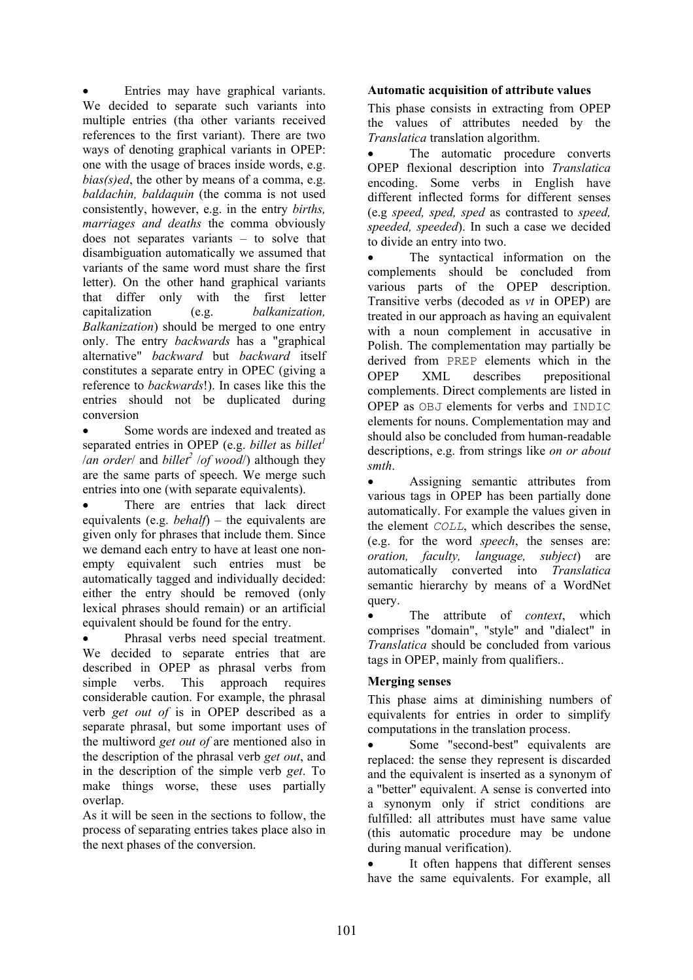Entries may have graphical variants. We decided to separate such variants into multiple entries (tha other variants received references to the first variant). There are two ways of denoting graphical variants in OPEP: one with the usage of braces inside words, e.g. *bias(s)ed*, the other by means of a comma, e.g. *baldachin, baldaquin* (the comma is not used consistently, however, e.g. in the entry *births, marriages and deaths* the comma obviously does not separates variants – to solve that disambiguation automatically we assumed that variants of the same word must share the first letter). On the other hand graphical variants that differ only with the first letter capitalization (e.g. *balkanization, Balkanization*) should be merged to one entry only. The entry *backwards* has a "graphical alternative" *backward* but *backward* itself constitutes a separate entry in OPEC (giving a reference to *backwards*!). In cases like this the entries should not be duplicated during conversion

Some words are indexed and treated as separated entries in OPEP (e.g. *billet* as *billet*<sup>1</sup> */an order/* and *billet<sup>2</sup> /of wood/*) although they are the same parts of speech. We merge such entries into one (with separate equivalents).

There are entries that lack direct equivalents (e.g. *behalf*) – the equivalents are given only for phrases that include them. Since we demand each entry to have at least one nonempty equivalent such entries must be automatically tagged and individually decided: either the entry should be removed (only lexical phrases should remain) or an artificial equivalent should be found for the entry.

Phrasal verbs need special treatment. We decided to separate entries that are described in OPEP as phrasal verbs from simple verbs. This approach requires considerable caution. For example, the phrasal verb *get out of* is in OPEP described as a separate phrasal, but some important uses of the multiword *get out of* are mentioned also in the description of the phrasal verb *get out*, and in the description of the simple verb *get*. To make things worse, these uses partially overlap.

As it will be seen in the sections to follow, the process of separating entries takes place also in the next phases of the conversion.

#### **Automatic acquisition of attribute values**

This phase consists in extracting from OPEP the values of attributes needed by the *Translatica* translation algorithm.

The automatic procedure converts OPEP flexional description into *Translatica* encoding. Some verbs in English have different inflected forms for different senses (e.g *speed, sped, sped* as contrasted to *speed, speeded, speeded*). In such a case we decided to divide an entry into two.

The syntactical information on the complements should be concluded from various parts of the OPEP description. Transitive verbs (decoded as *vt* in OPEP) are treated in our approach as having an equivalent with a noun complement in accusative in Polish. The complementation may partially be derived from PREP elements which in the OPEP XML describes prepositional complements. Direct complements are listed in OPEP as OBJ elements for verbs and INDIC elements for nouns. Complementation may and should also be concluded from human-readable descriptions, e.g. from strings like *on or about smth*.

• Assigning semantic attributes from various tags in OPEP has been partially done automatically. For example the values given in the element *COLL*, which describes the sense, (e.g. for the word *speech*, the senses are: *oration, faculty, language, subject*) are automatically converted into *Translatica* semantic hierarchy by means of a WordNet query.

The attribute of *context*, which comprises "domain", "style" and "dialect" in *Translatica* should be concluded from various tags in OPEP, mainly from qualifiers..

#### **Merging senses**

This phase aims at diminishing numbers of equivalents for entries in order to simplify computations in the translation process.

Some "second-best" equivalents are replaced: the sense they represent is discarded and the equivalent is inserted as a synonym of a "better" equivalent. A sense is converted into a synonym only if strict conditions are fulfilled: all attributes must have same value (this automatic procedure may be undone during manual verification).

It often happens that different senses have the same equivalents. For example, all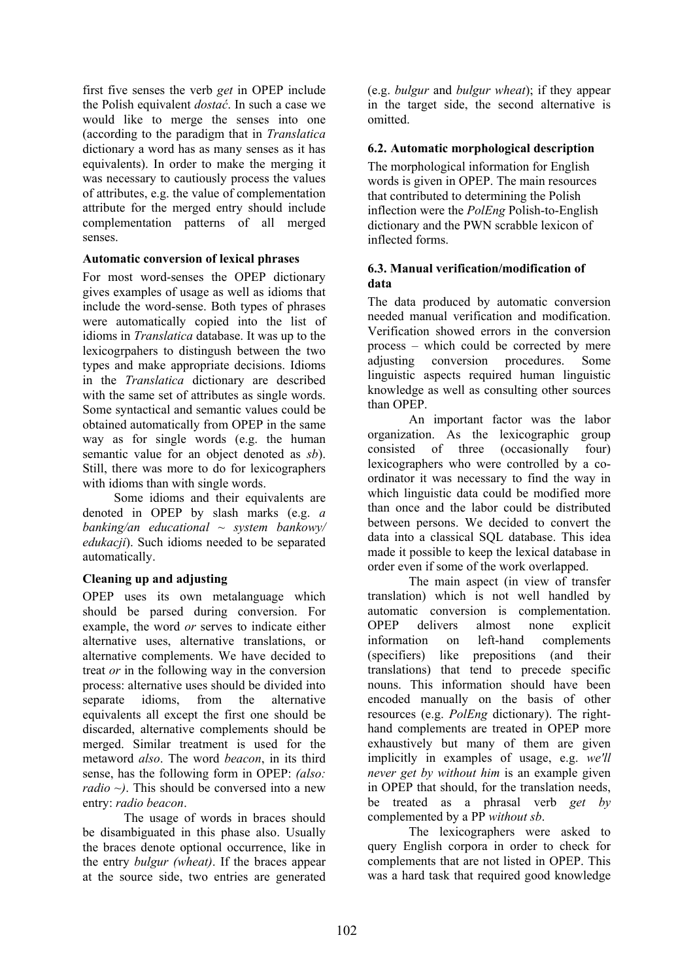first five senses the verb *get* in OPEP include the Polish equivalent *dostać*. In such a case we would like to merge the senses into one (according to the paradigm that in *Translatica* dictionary a word has as many senses as it has equivalents). In order to make the merging it was necessary to cautiously process the values of attributes, e.g. the value of complementation attribute for the merged entry should include complementation patterns of all merged senses.

#### **Automatic conversion of lexical phrases**

For most word-senses the OPEP dictionary gives examples of usage as well as idioms that include the word-sense. Both types of phrases were automatically copied into the list of idioms in *Translatica* database. It was up to the lexicogrpahers to distingush between the two types and make appropriate decisions. Idioms in the *Translatica* dictionary are described with the same set of attributes as single words. Some syntactical and semantic values could be obtained automatically from OPEP in the same way as for single words (e.g. the human semantic value for an object denoted as *sb*). Still, there was more to do for lexicographers with idioms than with single words.

Some idioms and their equivalents are denoted in OPEP by slash marks (e.g. *a banking/an educational ~ system bankowy/ edukacji*). Such idioms needed to be separated automatically.

#### **Cleaning up and adjusting**

OPEP uses its own metalanguage which should be parsed during conversion. For example, the word *or* serves to indicate either alternative uses, alternative translations, or alternative complements. We have decided to treat *or* in the following way in the conversion process: alternative uses should be divided into separate idioms, from the alternative equivalents all except the first one should be discarded, alternative complements should be merged. Similar treatment is used for the metaword *also*. The word *beacon*, in its third sense, has the following form in OPEP: *(also: radio ~)*. This should be conversed into a new entry: *radio beacon*.

The usage of words in braces should be disambiguated in this phase also. Usually the braces denote optional occurrence, like in the entry *bulgur (wheat)*. If the braces appear at the source side, two entries are generated (e.g. *bulgur* and *bulgur wheat*); if they appear in the target side, the second alternative is omitted.

## **6.2. Automatic morphological description**

The morphological information for English words is given in OPEP. The main resources that contributed to determining the Polish inflection were the *PolEng* Polish-to-English dictionary and the PWN scrabble lexicon of inflected forms.

#### **6.3. Manual verification/modification of data**

The data produced by automatic conversion needed manual verification and modification. Verification showed errors in the conversion process – which could be corrected by mere adjusting conversion procedures. Some linguistic aspects required human linguistic knowledge as well as consulting other sources than OPEP.

An important factor was the labor organization. As the lexicographic group consisted of three (occasionally four) lexicographers who were controlled by a coordinator it was necessary to find the way in which linguistic data could be modified more than once and the labor could be distributed between persons. We decided to convert the data into a classical SQL database. This idea made it possible to keep the lexical database in order even if some of the work overlapped.

The main aspect (in view of transfer translation) which is not well handled by automatic conversion is complementation. OPEP delivers almost none explicit information on left-hand complements (specifiers) like prepositions (and their translations) that tend to precede specific nouns. This information should have been encoded manually on the basis of other resources (e.g. *PolEng* dictionary). The righthand complements are treated in OPEP more exhaustively but many of them are given implicitly in examples of usage, e.g. *we'll never get by without him* is an example given in OPEP that should, for the translation needs, be treated as a phrasal verb *get by* complemented by a PP *without sb*.

The lexicographers were asked to query English corpora in order to check for complements that are not listed in OPEP. This was a hard task that required good knowledge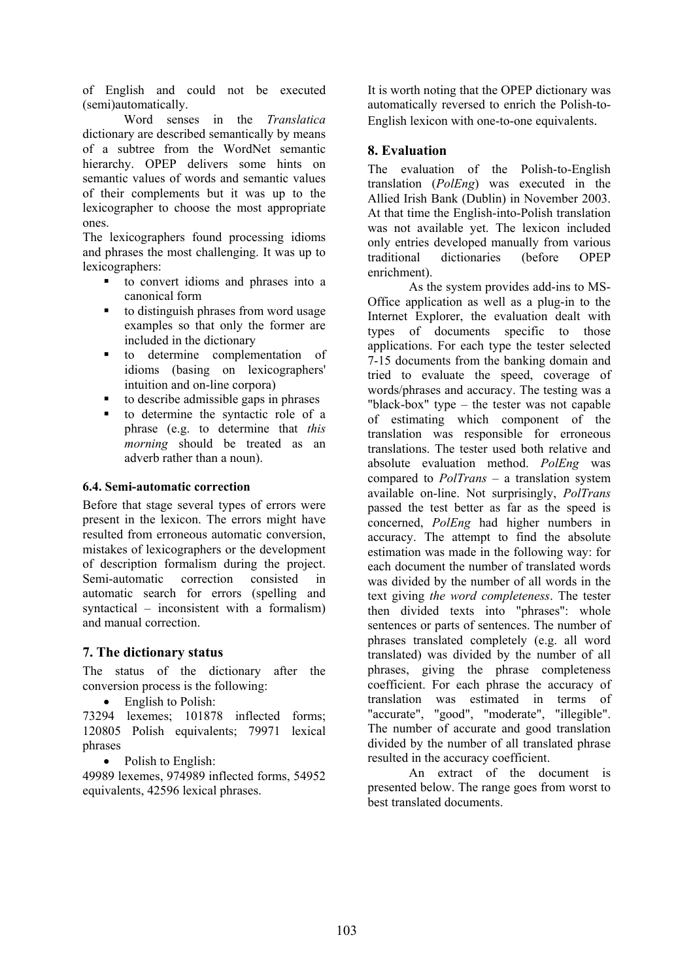of English and could not be executed (semi)automatically.

Word senses in the *Translatica* dictionary are described semantically by means of a subtree from the WordNet semantic hierarchy. OPEP delivers some hints on semantic values of words and semantic values of their complements but it was up to the lexicographer to choose the most appropriate ones.

The lexicographers found processing idioms and phrases the most challenging. It was up to lexicographers:

- to convert idioms and phrases into a canonical form
- to distinguish phrases from word usage examples so that only the former are included in the dictionary
- to determine complementation of idioms (basing on lexicographers' intuition and on-line corpora)
- to describe admissible gaps in phrases
- to determine the syntactic role of a phrase (e.g. to determine that *this morning* should be treated as an adverb rather than a noun).

#### **6.4. Semi-automatic correction**

Before that stage several types of errors were present in the lexicon. The errors might have resulted from erroneous automatic conversion, mistakes of lexicographers or the development of description formalism during the project. Semi-automatic correction consisted in automatic search for errors (spelling and syntactical – inconsistent with a formalism) and manual correction.

#### **7. The dictionary status**

The status of the dictionary after the conversion process is the following:

• English to Polish:

73294 lexemes; 101878 inflected forms; 120805 Polish equivalents; 79971 lexical phrases

• Polish to English:

49989 lexemes, 974989 inflected forms, 54952 equivalents, 42596 lexical phrases.

It is worth noting that the OPEP dictionary was automatically reversed to enrich the Polish-to-English lexicon with one-to-one equivalents.

## **8. Evaluation**

The evaluation of the Polish-to-English translation (*PolEng*) was executed in the Allied Irish Bank (Dublin) in November 2003. At that time the English-into-Polish translation was not available yet. The lexicon included only entries developed manually from various traditional dictionaries (before OPEP enrichment).

As the system provides add-ins to MS-Office application as well as a plug-in to the Internet Explorer, the evaluation dealt with types of documents specific to those applications. For each type the tester selected 7-15 documents from the banking domain and tried to evaluate the speed, coverage of words/phrases and accuracy. The testing was a "black-box" type – the tester was not capable of estimating which component of the translation was responsible for erroneous translations. The tester used both relative and absolute evaluation method. *PolEng* was compared to *PolTrans* – a translation system available on-line. Not surprisingly, *PolTrans* passed the test better as far as the speed is concerned, *PolEng* had higher numbers in accuracy. The attempt to find the absolute estimation was made in the following way: for each document the number of translated words was divided by the number of all words in the text giving *the word completeness*. The tester then divided texts into "phrases": whole sentences or parts of sentences. The number of phrases translated completely (e.g. all word translated) was divided by the number of all phrases, giving the phrase completeness coefficient. For each phrase the accuracy of translation was estimated in terms of "accurate", "good", "moderate", "illegible". The number of accurate and good translation divided by the number of all translated phrase resulted in the accuracy coefficient.

An extract of the document is presented below. The range goes from worst to best translated documents.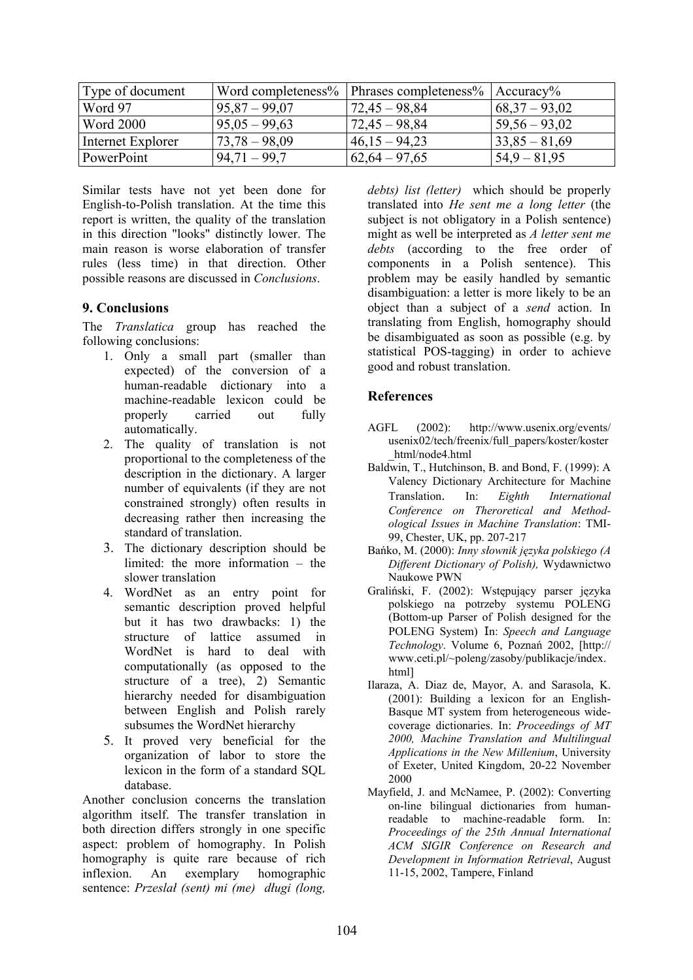| Type of document  | Word completeness% | Phrases completeness% $ $ Accuracy% |                 |
|-------------------|--------------------|-------------------------------------|-----------------|
| Word 97           | $95,87 - 99,07$    | $72,45 - 98,84$                     | $68,37 - 93,02$ |
| <b>Word 2000</b>  | $95,05 - 99,63$    | $72,45 - 98,84$                     | $59,56 - 93,02$ |
| Internet Explorer | $73,78 - 98,09$    | $46,15 - 94,23$                     | $33,85 - 81,69$ |
| PowerPoint        | $94,71 - 99,7$     | $62,64 - 97,65$                     | $54.9 - 81.95$  |

Similar tests have not yet been done for English-to-Polish translation. At the time this report is written, the quality of the translation in this direction "looks" distinctly lower. The main reason is worse elaboration of transfer rules (less time) in that direction. Other possible reasons are discussed in *Conclusions*.

## **9. Conclusions**

The *Translatica* group has reached the following conclusions:

- 1. Only a small part (smaller than expected) of the conversion of a human-readable dictionary into a machine-readable lexicon could be properly carried out fully automatically.
- 2. The quality of translation is not proportional to the completeness of the description in the dictionary. A larger number of equivalents (if they are not constrained strongly) often results in decreasing rather then increasing the standard of translation.
- 3. The dictionary description should be limited: the more information – the slower translation
- 4. WordNet as an entry point for semantic description proved helpful but it has two drawbacks: 1) the structure of lattice assumed in WordNet is hard to deal with computationally (as opposed to the structure of a tree), 2) Semantic hierarchy needed for disambiguation between English and Polish rarely subsumes the WordNet hierarchy
- 5. It proved very beneficial for the organization of labor to store the lexicon in the form of a standard SQL database.

Another conclusion concerns the translation algorithm itself. The transfer translation in both direction differs strongly in one specific aspect: problem of homography. In Polish homography is quite rare because of rich inflexion. An exemplary homographic sentence: *Przeslał (sent) mi (me) długi (long,* *debts) list (letter)* which should be properly translated into *He sent me a long letter* (the subject is not obligatory in a Polish sentence) might as well be interpreted as *A letter sent me debts* (according to the free order of components in a Polish sentence). This problem may be easily handled by semantic disambiguation: a letter is more likely to be an object than a subject of a *send* action. In translating from English, homography should be disambiguated as soon as possible (e.g. by statistical POS-tagging) in order to achieve good and robust translation.

## **References**

- AGFL (2002): http://www.usenix.org/events/ usenix02/tech/freenix/full\_papers/koster/koster \_html/node4.html
- Baldwin, T., Hutchinson, B. and Bond, F. (1999): A Valency Dictionary Architecture for Machine Translation. In: *Eighth International Conference on Theroretical and Methodological Issues in Machine Translation*: TMI-99, Chester, UK, pp. 207-217
- Bańko, M. (2000): *Inny słownik języka polskiego (A Different Dictionary of Polish),* Wydawnictwo Naukowe PWN
- Graliński, F. (2002): Wstępujący parser języka polskiego na potrzeby systemu POLENG (Bottom-up Parser of Polish designed for the POLENG System) In: *Speech and Language Technology*. Volume 6, Poznań 2002, [http:// www.ceti.pl/~poleng/zasoby/publikacje/index. html]
- Ilaraza, A. Diaz de, Mayor, A. and Sarasola, K. (2001): Building a lexicon for an English-Basque MT system from heterogeneous widecoverage dictionaries. In: *Proceedings of MT 2000, Machine Translation and Multilingual Applications in the New Millenium*, University of Exeter, United Kingdom, 20-22 November 2000
- Mayfield, J. and McNamee, P. (2002): Converting on-line bilingual dictionaries from humanreadable to machine-readable form. In: *Proceedings of the 25th Annual International ACM SIGIR Conference on Research and Development in Information Retrieval*, August 11-15, 2002, Tampere, Finland